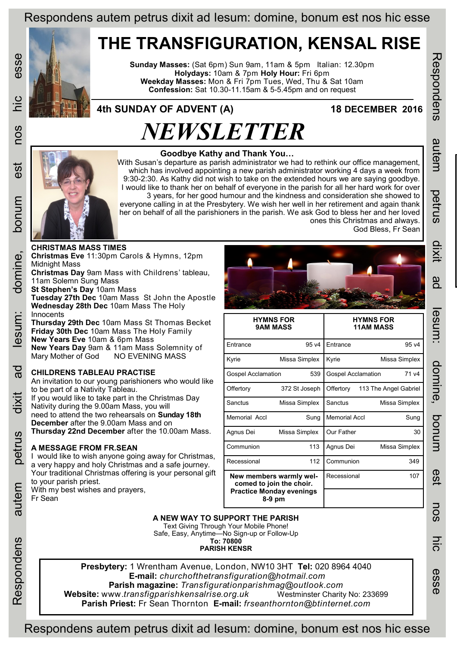## Respondens autem petrus dixit ad Iesum: domine, bonum est nos hic esse

## **THE TRANSFIGURATION, KENSAL RISE**

**Sunday Masses:** (Sat 6pm) Sun 9am, 11am & 5pm Italian: 12.30pm **Holydays:** 10am & 7pm **Holy Hour:** Fri 6pm **Weekday Masses:** Mon & Fri 7pm Tues, Wed, Thu & Sat 10am **Confession:** Sat 10.30-11.15am & 5-5.45pm and on request

### **4th SUNDAY OF ADVENT (A) 18 DECEMBER 2016**

#### **Goodbye Kathy and Thank You…**

*NEWSLETTER*

With Susan's departure as parish administrator we had to rethink our office management, which has involved appointing a new parish administrator working 4 days a week from 9:30-2:30. As Kathy did not wish to take on the extended hours we are saying goodbye. I would like to thank her on behalf of everyone in the parish for all her hard work for over 3 years, for her good humour and the kindness and consideration she showed to everyone calling in at the Presbytery. We wish her well in her retirement and again thank her on behalf of all the parishioners in the parish. We ask God to bless her and her loved ones this Christmas and always.

Respondens autem petrus dixit ad Iesum: domine, bonum est nos hic esse

esum:

domine,

ponun

**GS** 

nos

nic

esse

Respondens

autem

petrus

dixir

gd

# **CHRISTMAS MASS TIMES Christmas Eve** 11:30pm Carols & Hymns, 12pm Midnight Mass **Christmas Day** 9am Mass with Childrens' tableau, 11am Solemn Sung Mass **St Stephen's Day** 10am Mass

**Innocents** 

God Bless, Fr Sean

|                                                                                                    | <b>HYMNS FOR</b><br><b>9AM MASS</b> | <b>HYMNS FOR</b><br><b>11AM MASS</b> |                       |
|----------------------------------------------------------------------------------------------------|-------------------------------------|--------------------------------------|-----------------------|
| <b>Entrance</b>                                                                                    | 95 <sub>v4</sub>                    | <b>F</b> ntrance                     | 95 v4                 |
| Kyrie                                                                                              | Missa Simplex                       | Kyrie<br>Missa Simplex               |                       |
| 539<br><b>Gospel Acclamation</b>                                                                   |                                     | <b>Gospel Acclamation</b>            | 71 v4                 |
| Offertory                                                                                          | 372 St Joseph                       | Offertory                            | 113 The Angel Gabriel |
| Sanctus                                                                                            | Missa Simplex                       | Sanctus                              | Missa Simplex         |
| Memorial Accl                                                                                      | Sung                                | <b>Memorial Accl</b>                 | Sung                  |
| Agnus Dei                                                                                          | Missa Simplex                       | Our Father                           | 30                    |
| Communion                                                                                          | 113                                 | Agnus Dei                            | Missa Simplex         |
| Recessional                                                                                        | 112                                 | Communion                            | 349                   |
| New members warmly wel-<br>comed to join the choir.<br><b>Practice Monday evenings</b><br>$8-9$ pm |                                     | Recessional                          | 107                   |

#### **A NEW WAY TO SUPPORT THE PARISH**

Text Giving Through Your Mobile Phone! Safe, Easy, Anytime—No Sign-up or Follow-Up **To: 70800 PARISH KENSR**

**Presbytery:** 1 Wrentham Avenue, London, NW10 3HT **Tel:** 020 8964 4040 **E-mail:** *churchofthetransfiguration@hotmail.com*  **Parish magazine:** *Transfigurationparishmag@outlook.com*  **Website:** www.*transfigparishkensalrise.org.uk* Westminster Charity No: 233699 **Parish Priest:** Fr Sean Thornton **E-mail:** *frseanthornton@btinternet.com* 

autem

Respondens

esse

need to attend the two rehearsals on **Sunday 18th December** after the 9.00am Mass and on **Thursday 22nd December** after the 10.00am Mass. **A MESSAGE FROM FR.SEAN** I would like to wish anyone going away for Christmas, a very happy and holy Christmas and a safe journey. Your traditional Christmas offering is your personal gift to your parish priest. With my best wishes and prayers, Fr Sean

Nativity during the 9.00am Mass, you will

**Tuesday 27th Dec** 10am Mass St John the Apostle

**Thursday 29th Dec** 10am Mass St Thomas Becket **Friday 30th Dec** 10am Mass The Holy Family

**New Years Day** 9am & 11am Mass Solemnity of Mary Mother of God NO EVENING MASS

An invitation to our young parishioners who would like

If you would like to take part in the Christmas Day

**Wednesday 28th Dec** 10am Mass The Holy

**New Years Eve** 10am & 6pm Mass

**CHILDRENS TABLEAU PRACTISE** 

to be part of a Nativity Tableau.

Respondens autem petrus dixit ad Iesum: domine, bonum est nos hic esse